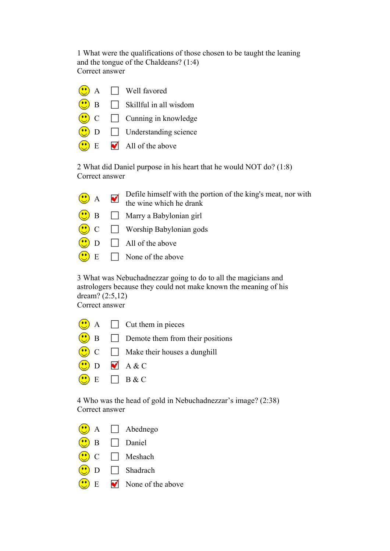1 What were the qualifications of those chosen to be taught the leaning and the tongue of the Chaldeans? (1:4) Correct answer



2 What did Daniel purpose in his heart that he would NOT do? (1:8) Correct answer

| $\bigcirc$ A Defile himself with the portion of the king's meat, nor with<br>the wine which he drank |
|------------------------------------------------------------------------------------------------------|
| $\left(\cdot\right)$ B $\Box$ Marry a Babylonian girl                                                |
| $\bigcirc$ C $\Box$ Worship Babylonian gods                                                          |
| $\bigcirc$ D $\Box$ All of the above                                                                 |
| $\left\langle \frac{\cdot}{\cdot} \right\rangle$ E $\Box$ None of the above                          |

3 What was Nebuchadnezzar going to do to all the magicians and astrologers because they could not make known the meaning of his dream? (2:5,12)

Correct answer

|                                   | $\left(\frac{1}{2}\right)$ A $\Box$ Cut them in pieces                                               |
|-----------------------------------|------------------------------------------------------------------------------------------------------|
|                                   | $\left(\bullet\right)$ B $\Box$ Demote them from their positions                                     |
|                                   | $\left(\begin{array}{c} \bullet \\ \bullet \end{array}\right)$ C $\Box$ Make their houses a dunghill |
| $\bigcirc$ D $\blacksquare$ A & C |                                                                                                      |
| $\bigodot$ E $\Box$ B & C         |                                                                                                      |

4 Who was the head of gold in Nebuchadnezzar's image? (2:38) Correct answer



- B Daniel
- $\overline{\mathbb{C}}$ C □ Meshach
- D Shadrach ⋒
- $E \nabla$  None of the above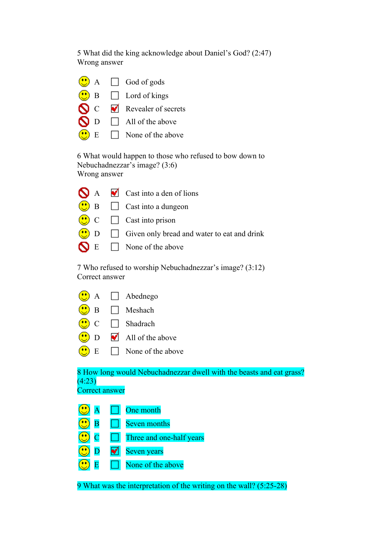5 What did the king acknowledge about Daniel's God? (2:47) Wrong answer

|  | $\bigcirc$ A $\Box$ God of gods                   |
|--|---------------------------------------------------|
|  | $\bigcirc$ B $\Box$ Lord of kings                 |
|  | $\bigcirc$ C $\bigcirc$ Revealer of secrets       |
|  | $\bigcirc$ D $\Box$ All of the above              |
|  | $\left(\bullet\right)$ E $\Box$ None of the above |
|  |                                                   |

6 What would happen to those who refused to bow down to Nebuchadnezzar's image? (3:6) Wrong answer

|  | $\bigcirc$ A $\bigcirc$ Cast into a den of lions                            |
|--|-----------------------------------------------------------------------------|
|  | $\left(\cdot\right)$ B $\qquad\Box$ Cast into a dungeon                     |
|  | $\bigcirc$ C $\Box$ Cast into prison                                        |
|  | $\left(\bullet\right)$ D $\Box$ Given only bread and water to eat and drink |
|  | $\bigcap$ E $\Box$ None of the above                                        |

7 Who refused to worship Nebuchadnezzar's image? (3:12) Correct answer

|                          |              | $A \Box$ Abednego                     |
|--------------------------|--------------|---------------------------------------|
|                          | $\mathbf{B}$ | $\Box$ Meshach                        |
| $\left(\bullet\right)$ C |              | Shadrach                              |
| $\left(\bullet\right)$ D |              | $\blacktriangleleft$ All of the above |
|                          | E            | $\Box$ None of the above              |

8 How long would Nebuchadnezzar dwell with the beasts and eat grass?  $(4:23)$ Correct answer

| $\overline{\mathbf{A}}$ | $\Box$<br>One month             |
|-------------------------|---------------------------------|
| $\overline{B}$          | <b>Seven months</b>             |
|                         | $\Box$ Three and one-half years |
| $\bigcirc$ D            | Seven years                     |
|                         | None of the above               |

9 What was the interpretation of the writing on the wall? (5:25-28)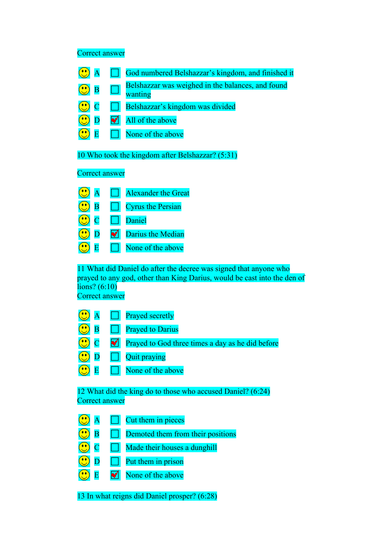Correct answer

|                         | God numbered Belshazzar's kingdom, and finished it           |
|-------------------------|--------------------------------------------------------------|
| B                       | Belshazzar was weighed in the balances, and found<br>wanting |
|                         | Belshazzar's kingdom was divided                             |
|                         | All of the above                                             |
|                         | None of the above                                            |
| <b>Correct answer</b>   | 10 Who took the kingdom after Belshazzar? (5:31)             |
| A                       | <b>Alexander the Great</b>                                   |
| $\overline{\mathbf{B}}$ | <b>Cyrus the Persian</b>                                     |
|                         | Daniel                                                       |
|                         | Darius the Median                                            |
|                         | None of the above                                            |

11 What did Daniel do after the decree was signed that anyone who prayed to any god, other than King Darius, would be cast into the den of  $\overline{\text{lions}$ ? (6:10) Correct answer

|                          | $\left(\cdot\right)$ A $\Box$ Prayed secretly                            |
|--------------------------|--------------------------------------------------------------------------|
|                          | $\overline{B}$ $\Box$ Prayed to Darius                                   |
|                          | $\bigcirc$ C $\bigcirc$ Prayed to God three times a day as he did before |
|                          | $\Box$ Quit praying                                                      |
| $\left( \cdot \right)$ E | $\Box$ None of the above                                                 |
|                          |                                                                          |

12 What did the king do to those who accused Daniel? (6:24) Correct answer

| $\overline{\mathbf{A}}$        | Cut them in pieces                 |
|--------------------------------|------------------------------------|
| $\mathbb{C}$<br>$\overline{B}$ | Demoted them from their positions  |
| $\odot$ c                      | Made their houses a dunghill       |
| $\bigcirc$ D                   | Put them in prison<br>$\mathbf{L}$ |
| $\bigcirc$ E                   | None of the above                  |
|                                |                                    |

13 In what reigns did Daniel prosper? (6:28)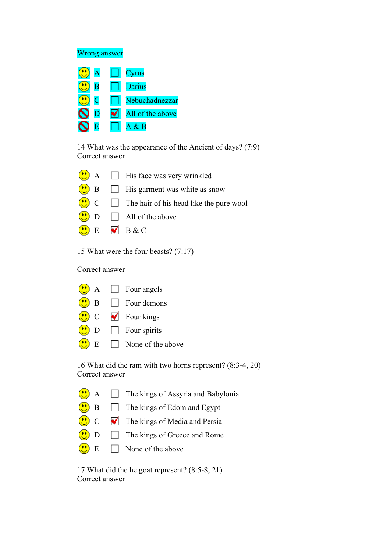## Wrong answer

|                           |   | Cyrus            |
|---------------------------|---|------------------|
| B                         |   | <b>Darius</b>    |
| C                         |   | Nebuchadnezzar   |
| $\boldsymbol{\mathsf{N}}$ | M | All of the above |
|                           |   | $A \& B$         |

14 What was the appearance of the Ancient of days? (7:9) Correct answer



15 What were the four beasts? (7:17)

Correct answer



16 What did the ram with two horns represent? (8:3-4, 20) Correct answer

| $\left(\bigcup_{n=1}^{N} A_n\right)$ The kings of Assyria and Babylonia |
|-------------------------------------------------------------------------|
| $\bigcirc$ B $\Box$ The kings of Edom and Egypt                         |
| $\circ$ C $\bullet$ The kings of Media and Persia                       |
| $\left(\bullet\right)$ D $\Box$ The kings of Greece and Rome            |
| $\left(\frac{1}{2}\right)$ E $\Box$ None of the above                   |

17 What did the he goat represent? (8:5-8, 21) Correct answer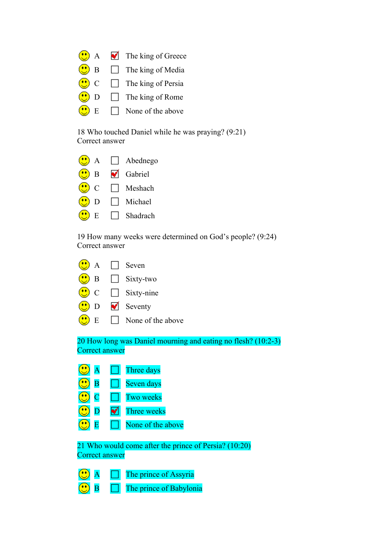|                                                                                                                  | $A \nabla$ The king of Greece |
|------------------------------------------------------------------------------------------------------------------|-------------------------------|
| B<br>$\left( \begin{array}{c} \bullet \\ \bullet \end{array} \right)$                                            | $\Box$ The king of Media      |
| $\left(\bullet\right)$ C                                                                                         | $\Box$ The king of Persia     |
| $\left(\!\!\left(\!\!\left.\!\!\left.\!\!\left.\!\!\left.\!\!\right.\!\!\right.\!\!\right) \!\!\right.\right)$ D | $\Box$ The king of Rome       |
| E<br>$\left( \begin{array}{c} \bullet \\ \bullet \end{array} \right)$                                            | $\Box$ None of the above      |

18 Who touched Daniel while he was praying? (9:21) Correct answer

| A              | $\Box$ Abednego |
|----------------|-----------------|
| $\overline{B}$ | Gabriel         |
| $\mathbf C$    | $\Box$ Meshach  |
| D              | $\Box$ Michael  |
| -E             | $\Box$ Shadrach |

19 How many weeks were determined on God's people? (9:24) Correct answer



20 How long was Daniel mourning and eating no flesh? (10:2-3) Correct answer

|   |   | Three days        |
|---|---|-------------------|
| B |   | Seven days        |
| C |   | Two weeks         |
|   | M | Three weeks       |
| E |   | None of the above |
|   |   |                   |

21 Who would come after the prince of Persia? (10:20) Correct answer

|  | The prince of Assyria   |
|--|-------------------------|
|  | The prince of Babylonia |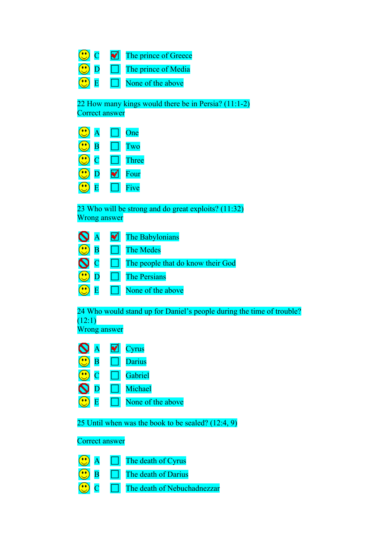C C The prince of Greece  $\overline{\mathbb{C}}$ D The prince of Media C  $\overline{E}$   $\Box$  None of the above

22 How many kings would there be in Persia? (11:1-2) Correct answer

|                         | One   |
|-------------------------|-------|
| $\overline{\mathbf{B}}$ | Two   |
| С                       | Three |
| D                       | Four  |
| R,                      | Five  |

23 Who will be strong and do great exploits? (11:32) Wrong answer

| $\mathbf{S}$ $\mathbf{A}$ | The Babylonians<br>M              |
|---------------------------|-----------------------------------|
| $\overline{\mathbf{B}}$   | The Medes                         |
| $\mathbf{O}$ c            | The people that do know their God |
| $\mathbf{D}$              | <b>The Persians</b>               |
|                           | None of the above                 |

24 Who would stand up for Daniel's people during the time of trouble?  $(12:1)$ 

Wrong answer

|  | vrus   |
|--|--------|
|  | Darius |
|  |        |

|  | Gabriel |
|--|---------|
|  |         |

 $\bigcirc$  E  $\Box$  None of the above

25 Until when was the book to be sealed? (12:4, 9)

## Correct answer

| The death of Cyrus  |  |
|---------------------|--|
| The death of Darius |  |

 $\overline{\bigcirc}$  C  $\Box$  The death of Nebuchadnezzar